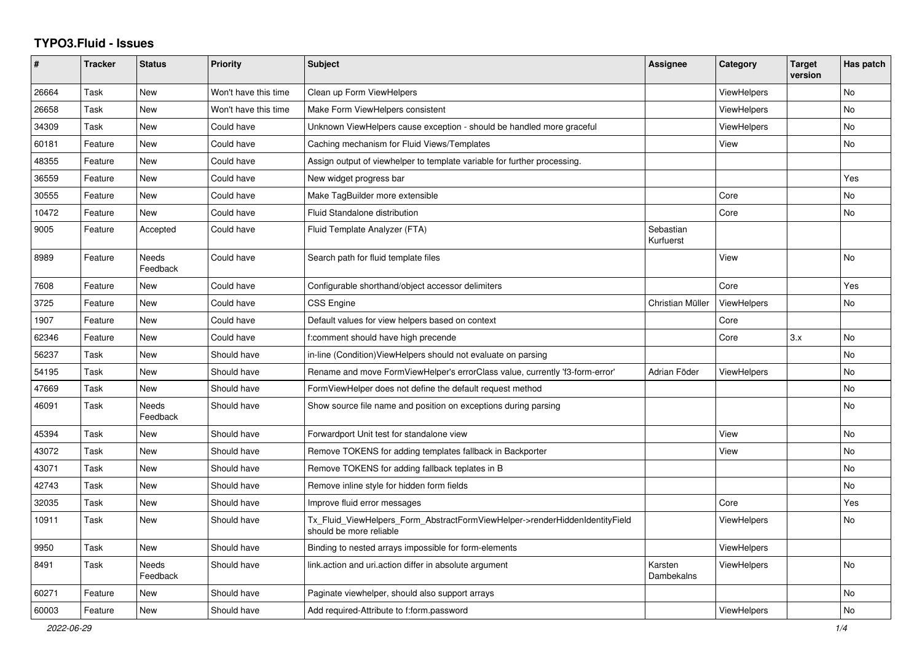## **TYPO3.Fluid - Issues**

| ∦     | <b>Tracker</b> | <b>Status</b>            | <b>Priority</b>      | <b>Subject</b>                                                                                         | Assignee               | Category           | <b>Target</b><br>version | Has patch      |
|-------|----------------|--------------------------|----------------------|--------------------------------------------------------------------------------------------------------|------------------------|--------------------|--------------------------|----------------|
| 26664 | Task           | <b>New</b>               | Won't have this time | Clean up Form ViewHelpers                                                                              |                        | <b>ViewHelpers</b> |                          | N <sub>o</sub> |
| 26658 | Task           | New                      | Won't have this time | Make Form ViewHelpers consistent                                                                       |                        | <b>ViewHelpers</b> |                          | No             |
| 34309 | Task           | New                      | Could have           | Unknown ViewHelpers cause exception - should be handled more graceful                                  |                        | ViewHelpers        |                          | No             |
| 60181 | Feature        | New                      | Could have           | Caching mechanism for Fluid Views/Templates                                                            |                        | View               |                          | No             |
| 48355 | Feature        | <b>New</b>               | Could have           | Assign output of viewhelper to template variable for further processing.                               |                        |                    |                          |                |
| 36559 | Feature        | <b>New</b>               | Could have           | New widget progress bar                                                                                |                        |                    |                          | Yes            |
| 30555 | Feature        | New                      | Could have           | Make TagBuilder more extensible                                                                        |                        | Core               |                          | No             |
| 10472 | Feature        | <b>New</b>               | Could have           | Fluid Standalone distribution                                                                          |                        | Core               |                          | No             |
| 9005  | Feature        | Accepted                 | Could have           | Fluid Template Analyzer (FTA)                                                                          | Sebastian<br>Kurfuerst |                    |                          |                |
| 8989  | Feature        | <b>Needs</b><br>Feedback | Could have           | Search path for fluid template files                                                                   |                        | View               |                          | No             |
| 7608  | Feature        | New                      | Could have           | Configurable shorthand/object accessor delimiters                                                      |                        | Core               |                          | Yes            |
| 3725  | Feature        | New                      | Could have           | <b>CSS Engine</b>                                                                                      | Christian Müller       | <b>ViewHelpers</b> |                          | No             |
| 1907  | Feature        | <b>New</b>               | Could have           | Default values for view helpers based on context                                                       |                        | Core               |                          |                |
| 62346 | Feature        | New                      | Could have           | f:comment should have high precende                                                                    |                        | Core               | 3.x                      | No.            |
| 56237 | Task           | New                      | Should have          | in-line (Condition) View Helpers should not evaluate on parsing                                        |                        |                    |                          | No             |
| 54195 | Task           | New                      | Should have          | Rename and move FormViewHelper's errorClass value, currently 'f3-form-error'                           | Adrian Föder           | <b>ViewHelpers</b> |                          | No             |
| 47669 | Task           | <b>New</b>               | Should have          | FormViewHelper does not define the default request method                                              |                        |                    |                          | No             |
| 46091 | Task           | Needs<br>Feedback        | Should have          | Show source file name and position on exceptions during parsing                                        |                        |                    |                          | No             |
| 45394 | Task           | New                      | Should have          | Forwardport Unit test for standalone view                                                              |                        | View               |                          | No             |
| 43072 | Task           | <b>New</b>               | Should have          | Remove TOKENS for adding templates fallback in Backporter                                              |                        | View               |                          | No             |
| 43071 | Task           | <b>New</b>               | Should have          | Remove TOKENS for adding fallback teplates in B                                                        |                        |                    |                          | <b>No</b>      |
| 42743 | Task           | New                      | Should have          | Remove inline style for hidden form fields                                                             |                        |                    |                          | No             |
| 32035 | Task           | New                      | Should have          | Improve fluid error messages                                                                           |                        | Core               |                          | Yes            |
| 10911 | Task           | New                      | Should have          | Tx Fluid ViewHelpers Form AbstractFormViewHelper->renderHiddenIdentityField<br>should be more reliable |                        | ViewHelpers        |                          | No             |
| 9950  | Task           | <b>New</b>               | Should have          | Binding to nested arrays impossible for form-elements                                                  |                        | ViewHelpers        |                          |                |
| 8491  | Task           | Needs<br>Feedback        | Should have          | link.action and uri.action differ in absolute argument                                                 | Karsten<br>Dambekalns  | <b>ViewHelpers</b> |                          | No             |
| 60271 | Feature        | New                      | Should have          | Paginate viewhelper, should also support arrays                                                        |                        |                    |                          | No             |
| 60003 | Feature        | <b>New</b>               | Should have          | Add required-Attribute to f:form.password                                                              |                        | ViewHelpers        |                          | No             |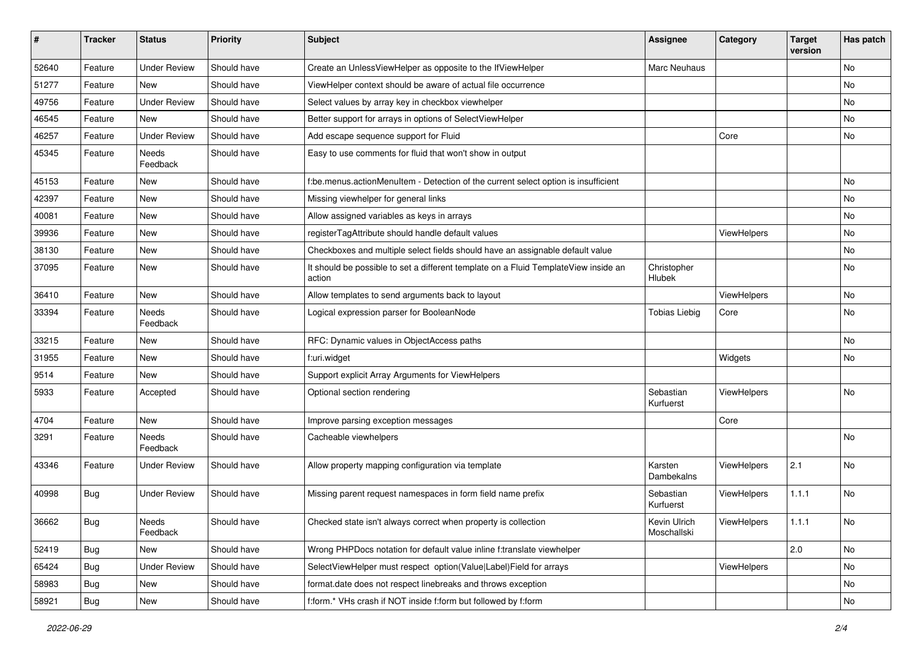| ∦     | <b>Tracker</b> | <b>Status</b>            | <b>Priority</b> | <b>Subject</b>                                                                                | <b>Assignee</b>             | Category    | <b>Target</b><br>version | Has patch |
|-------|----------------|--------------------------|-----------------|-----------------------------------------------------------------------------------------------|-----------------------------|-------------|--------------------------|-----------|
| 52640 | Feature        | <b>Under Review</b>      | Should have     | Create an UnlessViewHelper as opposite to the IfViewHelper                                    | Marc Neuhaus                |             |                          | No        |
| 51277 | Feature        | New                      | Should have     | ViewHelper context should be aware of actual file occurrence                                  |                             |             |                          | No        |
| 49756 | Feature        | <b>Under Review</b>      | Should have     | Select values by array key in checkbox viewhelper                                             |                             |             |                          | No        |
| 46545 | Feature        | New                      | Should have     | Better support for arrays in options of SelectViewHelper                                      |                             |             |                          | No        |
| 46257 | Feature        | <b>Under Review</b>      | Should have     | Add escape sequence support for Fluid                                                         |                             | Core        |                          | No        |
| 45345 | Feature        | <b>Needs</b><br>Feedback | Should have     | Easy to use comments for fluid that won't show in output                                      |                             |             |                          |           |
| 45153 | Feature        | New                      | Should have     | f:be.menus.actionMenuItem - Detection of the current select option is insufficient            |                             |             |                          | No.       |
| 42397 | Feature        | New                      | Should have     | Missing viewhelper for general links                                                          |                             |             |                          | No        |
| 40081 | Feature        | New                      | Should have     | Allow assigned variables as keys in arrays                                                    |                             |             |                          | No        |
| 39936 | Feature        | New                      | Should have     | registerTagAttribute should handle default values                                             |                             | ViewHelpers |                          | No        |
| 38130 | Feature        | New                      | Should have     | Checkboxes and multiple select fields should have an assignable default value                 |                             |             |                          | No        |
| 37095 | Feature        | New                      | Should have     | It should be possible to set a different template on a Fluid TemplateView inside an<br>action | Christopher<br>Hlubek       |             |                          | No        |
| 36410 | Feature        | New                      | Should have     | Allow templates to send arguments back to layout                                              |                             | ViewHelpers |                          | No        |
| 33394 | Feature        | Needs<br>Feedback        | Should have     | Logical expression parser for BooleanNode                                                     | <b>Tobias Liebig</b>        | Core        |                          | No        |
| 33215 | Feature        | New                      | Should have     | RFC: Dynamic values in ObjectAccess paths                                                     |                             |             |                          | No.       |
| 31955 | Feature        | New                      | Should have     | f:uri.widget                                                                                  |                             | Widgets     |                          | No        |
| 9514  | Feature        | <b>New</b>               | Should have     | Support explicit Array Arguments for ViewHelpers                                              |                             |             |                          |           |
| 5933  | Feature        | Accepted                 | Should have     | Optional section rendering                                                                    | Sebastian<br>Kurfuerst      | ViewHelpers |                          | No        |
| 4704  | Feature        | New                      | Should have     | Improve parsing exception messages                                                            |                             | Core        |                          |           |
| 3291  | Feature        | Needs<br>Feedback        | Should have     | Cacheable viewhelpers                                                                         |                             |             |                          | No        |
| 43346 | Feature        | <b>Under Review</b>      | Should have     | Allow property mapping configuration via template                                             | Karsten<br>Dambekalns       | ViewHelpers | 2.1                      | No        |
| 40998 | <b>Bug</b>     | <b>Under Review</b>      | Should have     | Missing parent request namespaces in form field name prefix                                   | Sebastian<br>Kurfuerst      | ViewHelpers | 1.1.1                    | <b>No</b> |
| 36662 | <b>Bug</b>     | Needs<br>Feedback        | Should have     | Checked state isn't always correct when property is collection                                | Kevin Ulrich<br>Moschallski | ViewHelpers | 1.1.1                    | No        |
| 52419 | Bug            | New                      | Should have     | Wrong PHPDocs notation for default value inline f:translate viewhelper                        |                             |             | 2.0                      | No        |
| 65424 | Bug            | <b>Under Review</b>      | Should have     | SelectViewHelper must respect option(Value Label)Field for arrays                             |                             | ViewHelpers |                          | No        |
| 58983 | <b>Bug</b>     | New                      | Should have     | format.date does not respect linebreaks and throws exception                                  |                             |             |                          | No        |
| 58921 | Bug            | New                      | Should have     | f:form.* VHs crash if NOT inside f:form but followed by f:form                                |                             |             |                          | No        |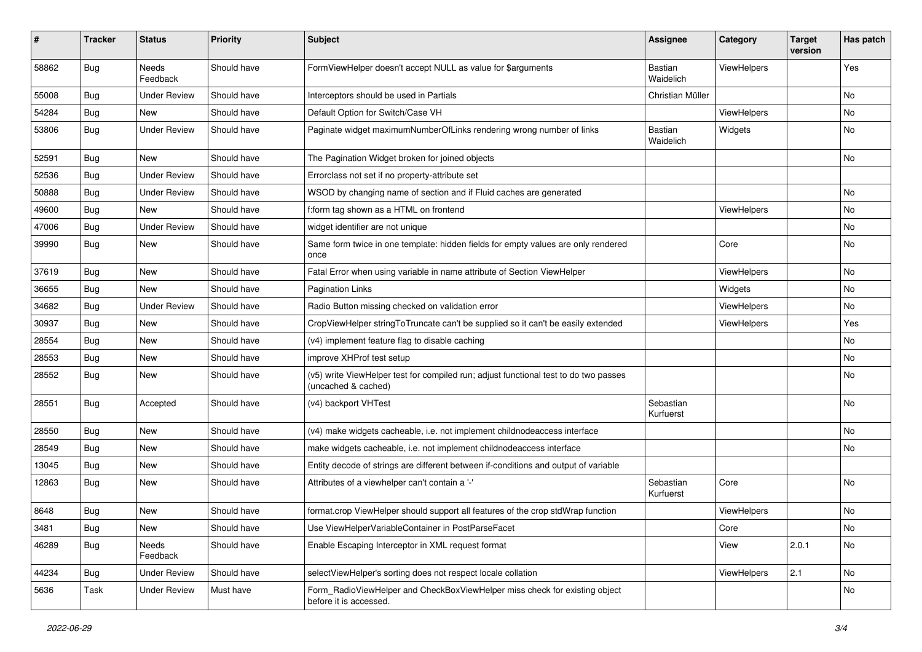| ∦     | <b>Tracker</b> | <b>Status</b>            | Priority    | <b>Subject</b>                                                                                              | <b>Assignee</b>        | Category    | <b>Target</b><br>version | Has patch |
|-------|----------------|--------------------------|-------------|-------------------------------------------------------------------------------------------------------------|------------------------|-------------|--------------------------|-----------|
| 58862 | Bug            | <b>Needs</b><br>Feedback | Should have | FormViewHelper doesn't accept NULL as value for \$arguments                                                 | Bastian<br>Waidelich   | ViewHelpers |                          | Yes       |
| 55008 | <b>Bug</b>     | <b>Under Review</b>      | Should have | Interceptors should be used in Partials                                                                     | Christian Müller       |             |                          | <b>No</b> |
| 54284 | Bug            | <b>New</b>               | Should have | Default Option for Switch/Case VH                                                                           |                        | ViewHelpers |                          | <b>No</b> |
| 53806 | Bug            | <b>Under Review</b>      | Should have | Paginate widget maximumNumberOfLinks rendering wrong number of links                                        | Bastian<br>Waidelich   | Widgets     |                          | <b>No</b> |
| 52591 | Bug            | New                      | Should have | The Pagination Widget broken for joined objects                                                             |                        |             |                          | No        |
| 52536 | Bug            | <b>Under Review</b>      | Should have | Errorclass not set if no property-attribute set                                                             |                        |             |                          |           |
| 50888 | Bug            | <b>Under Review</b>      | Should have | WSOD by changing name of section and if Fluid caches are generated                                          |                        |             |                          | No        |
| 49600 | Bug            | New                      | Should have | f:form tag shown as a HTML on frontend                                                                      |                        | ViewHelpers |                          | No        |
| 47006 | <b>Bug</b>     | <b>Under Review</b>      | Should have | widget identifier are not unique                                                                            |                        |             |                          | No        |
| 39990 | Bug            | New                      | Should have | Same form twice in one template: hidden fields for empty values are only rendered<br>once                   |                        | Core        |                          | <b>No</b> |
| 37619 | Bug            | <b>New</b>               | Should have | Fatal Error when using variable in name attribute of Section ViewHelper                                     |                        | ViewHelpers |                          | <b>No</b> |
| 36655 | <b>Bug</b>     | New                      | Should have | <b>Pagination Links</b>                                                                                     |                        | Widgets     |                          | No        |
| 34682 | <b>Bug</b>     | <b>Under Review</b>      | Should have | Radio Button missing checked on validation error                                                            |                        | ViewHelpers |                          | No        |
| 30937 | Bug            | <b>New</b>               | Should have | CropViewHelper stringToTruncate can't be supplied so it can't be easily extended                            |                        | ViewHelpers |                          | Yes       |
| 28554 | Bug            | New                      | Should have | (v4) implement feature flag to disable caching                                                              |                        |             |                          | No        |
| 28553 | Bug            | New                      | Should have | improve XHProf test setup                                                                                   |                        |             |                          | No        |
| 28552 | Bug            | New                      | Should have | (v5) write ViewHelper test for compiled run; adjust functional test to do two passes<br>(uncached & cached) |                        |             |                          | No        |
| 28551 | Bug            | Accepted                 | Should have | (v4) backport VHTest                                                                                        | Sebastian<br>Kurfuerst |             |                          | <b>No</b> |
| 28550 | Bug            | New                      | Should have | (v4) make widgets cacheable, i.e. not implement childnodeaccess interface                                   |                        |             |                          | <b>No</b> |
| 28549 | Bug            | <b>New</b>               | Should have | make widgets cacheable, i.e. not implement childnodeaccess interface                                        |                        |             |                          | <b>No</b> |
| 13045 | Bug            | New                      | Should have | Entity decode of strings are different between if-conditions and output of variable                         |                        |             |                          |           |
| 12863 | Bug            | New                      | Should have | Attributes of a viewhelper can't contain a '-'                                                              | Sebastian<br>Kurfuerst | Core        |                          | <b>No</b> |
| 8648  | Bug            | New                      | Should have | format.crop ViewHelper should support all features of the crop stdWrap function                             |                        | ViewHelpers |                          | <b>No</b> |
| 3481  | <b>Bug</b>     | New                      | Should have | Use ViewHelperVariableContainer in PostParseFacet                                                           |                        | Core        |                          | No        |
| 46289 | <b>Bug</b>     | Needs<br>Feedback        | Should have | Enable Escaping Interceptor in XML request format                                                           |                        | View        | 2.0.1                    | No        |
| 44234 | Bug            | <b>Under Review</b>      | Should have | selectViewHelper's sorting does not respect locale collation                                                |                        | ViewHelpers | 2.1                      | No        |
| 5636  | Task           | <b>Under Review</b>      | Must have   | Form RadioViewHelper and CheckBoxViewHelper miss check for existing object<br>before it is accessed.        |                        |             |                          | No        |